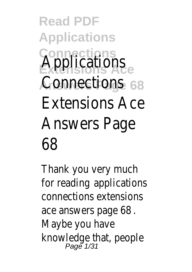**Read PDF Applications Connections** Applications <sub>ce</sub> Connectionse 68 Extensions Ace Answers Page 68

Thank you very much for reading applications connections extensions ace answers page 68. Maybe you have knowledge that, people Page 1/31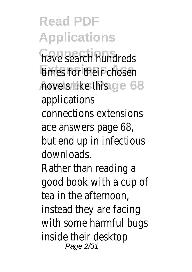**Read PDF Applications** have search hundreds **Extends for their chosen Answers Page 68** novels like this applications connections extensions ace answers page 68, but end up in infectious downloads. Rather than reading a good book with a cup of tea in the afternoon, instead they are facing with some harmful bugs inside their desktop Page 2/31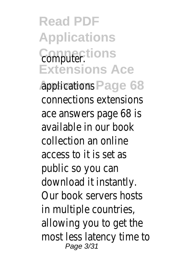**Read PDF Applications** Computer<sub>:</sub>tions **Extensions Ace**

Applications Page 68 connections extensions ace answers page 68 is available in our book collection an online access to it is set as public so you can download it instantly. Our book servers hosts in multiple countries, allowing you to get the most less latency time to Page 3/31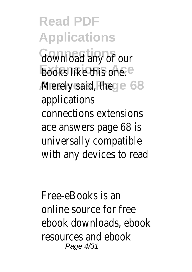**Read PDF Applications** download any of our **books like this one.** Merely said, the ge 68 applications connections extensions ace answers page 68 is universally compatible with any devices to read

Free-eBooks is an online source for free ebook downloads, ebook resources and ebook Page 4/31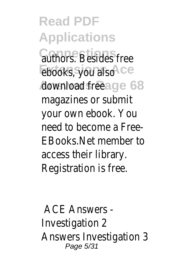**Read PDF Applications Continues** Besides free **Ebooks, you also**Ace **Answers Page 68** download free magazines or submit your own ebook. You need to become a Free-EBooks.Net member to access their library. Registration is free.

ACE Answers - Investigation 2 Answers Investigation 3 Page 5/31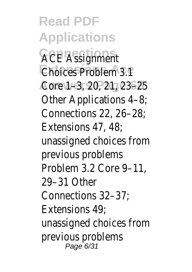**Read PDF Applications ACE Assignment Choices Problem 3.1 e Answers Page 68** Core 1–3, 20, 21, 23–25 Other Applications 4–8; Connections 22, 26–28; Extensions 47, 48; unassigned choices from previous problems Problem 3.2 Core 9–11, 29–31 Other Connections 32–37; Extensions 49; unassigned choices from previous problems Page 6/31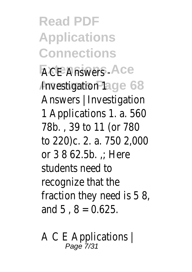**Read PDF Applications Connections ACE Answers LS Ace Anvestigation Page 68** Answers | Investigation 1 Applications 1. a. 560 78b. , 39 to 11 (or 780 to 220)c. 2. a. 750 2,000 or  $3$  8 62.5b.  $\therefore$  Here students need to recognize that the fraction they need is 5 8, and  $5 \cdot 8 = 0.625$ .

A C E Applications | Page 7/31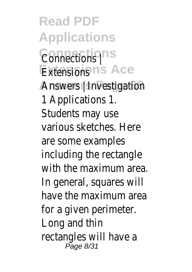**Read PDF Applications Connections** Connections | **Extensions Ace** Extensions Answers | Investigation<sup>8</sup> 1 Applications 1. Students may use various sketches. Here are some examples including the rectangle with the maximum area. In general, squares will have the maximum area for a given perimeter. Long and thin rectangles will have a Page 8/31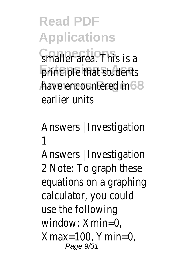**Read PDF Applications Smaller area. This is a principle that students** have encountered in 68 earlier units

Answers | Investigation 1

Answers | Investigation 2 Note: To graph these equations on a graphing calculator, you could use the following window: Xmin=0,  $X$ max=100, Ymin=0, Page 9/31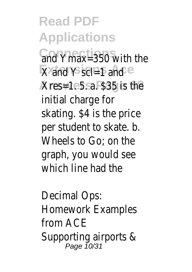**Read PDF Applications** and Ymax=350 with the **X** and Y scl=1 and Ce **Answers Page 68** Xres=1. 5. a. \$35 is the initial charge for skating. \$4 is the price per student to skate. b. Wheels to Go; on the graph, you would see which line had the

Decimal Ops: Homework Examples from ACE Supporting airports & Page 10/31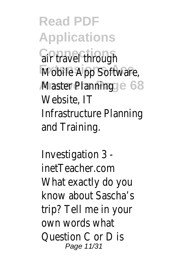**Read PDF Applications Gir travel through Mobile App Software, Master Planning ge 68** Website, IT Infrastructure Planning and Training.

Investigation 3 inetTeacher.com What exactly do you know about Sascha's trip? Tell me in your own words what Question C or D is Page 11/31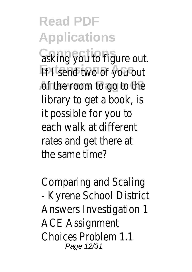**Read PDF Applications** asking you to figure out. **If I send two of you out** of the room to go to the library to get a book, is it possible for you to each walk at different rates and get there at the same time?

Comparing and Scaling - Kyrene School District Answers Investigation 1 ACE Assignment Choices Problem 1.1 Page 12/31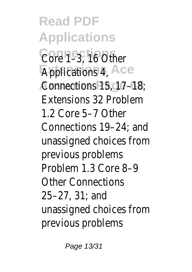**Read PDF Applications Connections** Core 1–3, 16 Other **Applications 4,5 Ace Answers Page 68** Connections 15, 17–18; Extensions 32 Problem 1.2 Core 5–7 Other Connections 19–24; and unassigned choices from previous problems Problem 1.3 Core 8–9 Other Connections 25–27, 31; and unassigned choices from previous problems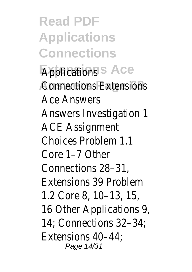**Read PDF Applications Connections Applications INS Ace Connections Extensions** Ace Answers Answers Investigation 1 ACE Assignment Choices Problem 1.1 Core 1–7 Other Connections 28–31, Extensions 39 Problem 1.2 Core 8, 10–13, 15, 16 Other Applications 9, 14; Connections 32–34; Extensions 40–44; Page 14/31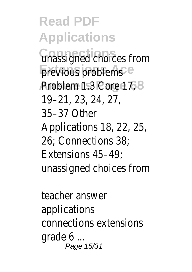**Read PDF Applications Connections** unassigned choices from previous problems Ce **Problem 1.3 Core 17, 68** 19–21, 23, 24, 27, 35–37 Other Applications 18, 22, 25, 26; Connections 38; Extensions 45–49; unassigned choices from

teacher answer applications connections extensions grade 6 ... Page 15/31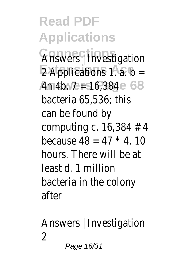**Read PDF Applications Answers** | Investigation  $\overline{2}$  Applications 1. a. b= Am4b. 7 **E** 16,384 e 68 bacteria 65,536; this can be found by computing c. 16,384 # 4 because  $48 = 47 * 4.10$ hours. There will be at least d. 1 million bacteria in the colony after

Answers | Investigation  $\mathfrak{D}$ Page 16/31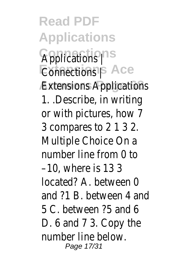**Read PDF Applications** Applications<sup>pns</sup> **Connections | S Ace Extensions Applications** 1. .Describe, in writing or with pictures, how 7 3 compares to 2 1 3 2. Multiple Choice On a number line from 0 to –10, where is 13 3 located? A. between 0 and ?1 B. between 4 and 5 C. between ?5 and 6 D. 6 and 7 3. Copy the number line below. Page 17/31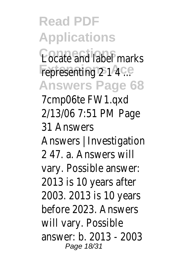**Read PDF Applications** Locate and label marks representing 2 1 4 C.e **Answers Page 68** 7cmp06te FW1.qxd 2/13/06 7:51 PM Page 31 Answers Answers | Investigation 2 47. a. Answers will vary. Possible answer: 2013 is 10 years after 2003. 2013 is 10 years before 2023. Answers will vary. Possible answer: b. 2013 - 2003 Page 18/31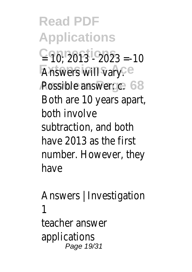**Read PDF Applications**  $C = 10$ ;  $2013 - 2023 = -10$ **Answers will vary.** Ce Possible answer: c.e. 68 Both are 10 years apart, both involve subtraction, and both have 2013 as the first number. However, they have

Answers | Investigation 1 teacher answer applications Page 19/31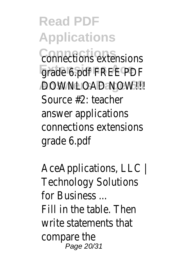**Read PDF Applications Connections** connections extensions grade 6.pdf FREE PDF **AOWNLOAD NOW!!!** 68 Source #2: teacher answer applications connections extensions grade 6.pdf

AceApplications, LLC | Technology Solutions for Business ... Fill in the table. Then write statements that compare the Page 20/31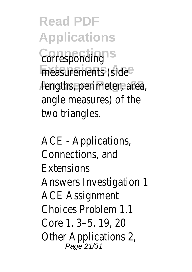**Read PDF Applications** Corresponding<sup>ns</sup> measurements (side<sup>e</sup> lengths, perimeter, area, angle measures) of the two triangles.

ACE - Applications, Connections, and Extensions Answers Investigation 1 ACE Assignment Choices Problem 1.1 Core 1, 3–5, 19, 20 Other Applications 2, Page 21/31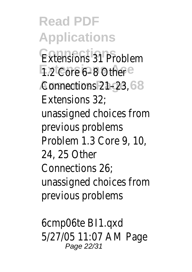**Read PDF Applications** Extensions 31 Problem **1.2 Core 6-8 Other<sup>ce</sup>** Connections 21-23, 68 Extensions 32; unassigned choices from previous problems Problem 1.3 Core 9, 10, 24, 25 Other Connections 26; unassigned choices from previous problems

6cmp06te BI1.qxd 5/27/05 11:07 AM Page Page 22/31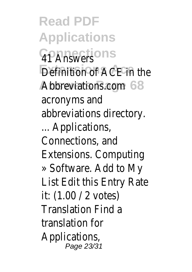**Read PDF Applications Connections** 41 Answers **Definition of ACE in the** Abbreviations.com e 68 acronyms and abbreviations directory. ... Applications, Connections, and Extensions. Computing » Software. Add to My List Edit this Entry Rate it: (1.00 / 2 votes) Translation Find a translation for Applications, Page 23/31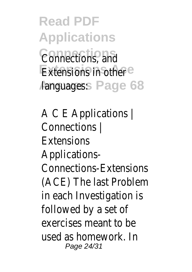**Read PDF Applications Connections** Connections, and Extensions in other<sup>ce</sup> Aanguages: **Page 68** 

A C E Applications | Connections | Extensions Applications-Connections-Extensions (ACE) The last Problem in each Investigation is followed by a set of exercises meant to be used as homework. In Page 24/31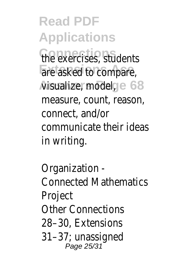**Read PDF Applications** the exercises, students are asked to compare, Aisualize, model, ge 68 measure, count, reason, connect, and/or communicate their ideas in writing.

Organization - Connected Mathematics Project Other Connections 28–30, Extensions 31–37; unassigned Page 25/31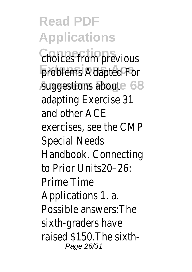**Read PDF Applications Choices from previous** problems Adapted For **Suggestions aboute 68** adapting Exercise 31 and other ACE exercises, see the CMP Special Needs Handbook. Connecting to Prior Units20–26: Prime Time Applications 1. a. Possible answers:The sixth-graders have raised \$150.The sixth-Page 26/31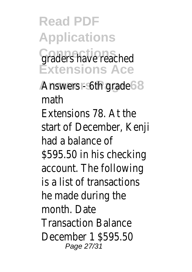**Read PDF Applications** Graders have reached **Extensions Ace**

Answers - 6th grade 68 math Extensions 78. At the start of December, Kenji had a balance of \$595.50 in his checking account. The following is a list of transactions he made during the month. Date Transaction Balance December 1 \$595.50 Page 27/31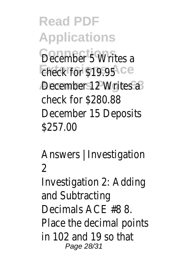**Read PDF Applications** December 5 Writes a Eheck for \$19.95<sup>4</sup> ce **December 12 Writes a 8** check for \$280.88 December 15 Deposits \$257.00

Answers | Investigation  $\mathfrak{D}$ Investigation 2: Adding and Subtracting Decimals ACE #8 8. Place the decimal points in 102 and 19 so that Page 28/31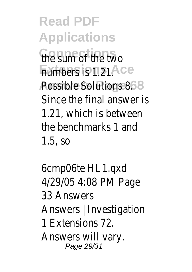**Read PDF Applications Connections** the sum of the two **Fiumbers is 1.21. Ace** Possible Solutions 8. 68 Since the final answer is 1.21, which is between the benchmarks 1 and 1.5, so

6cmp06te HL1.qxd 4/29/05 4:08 PM Page 33 Answers Answers | Investigation 1 Extensions 72. Answers will vary. Page 29/31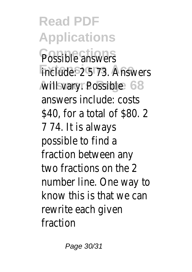**Read PDF Applications** Possible answers include: 2 5 73. Answers **Avill vary. Possible 68** answers include: costs \$40, for a total of \$80. 2 7 74. It is always possible to find a fraction between any two fractions on the 2 number line. One way to know this is that we can rewrite each given fraction